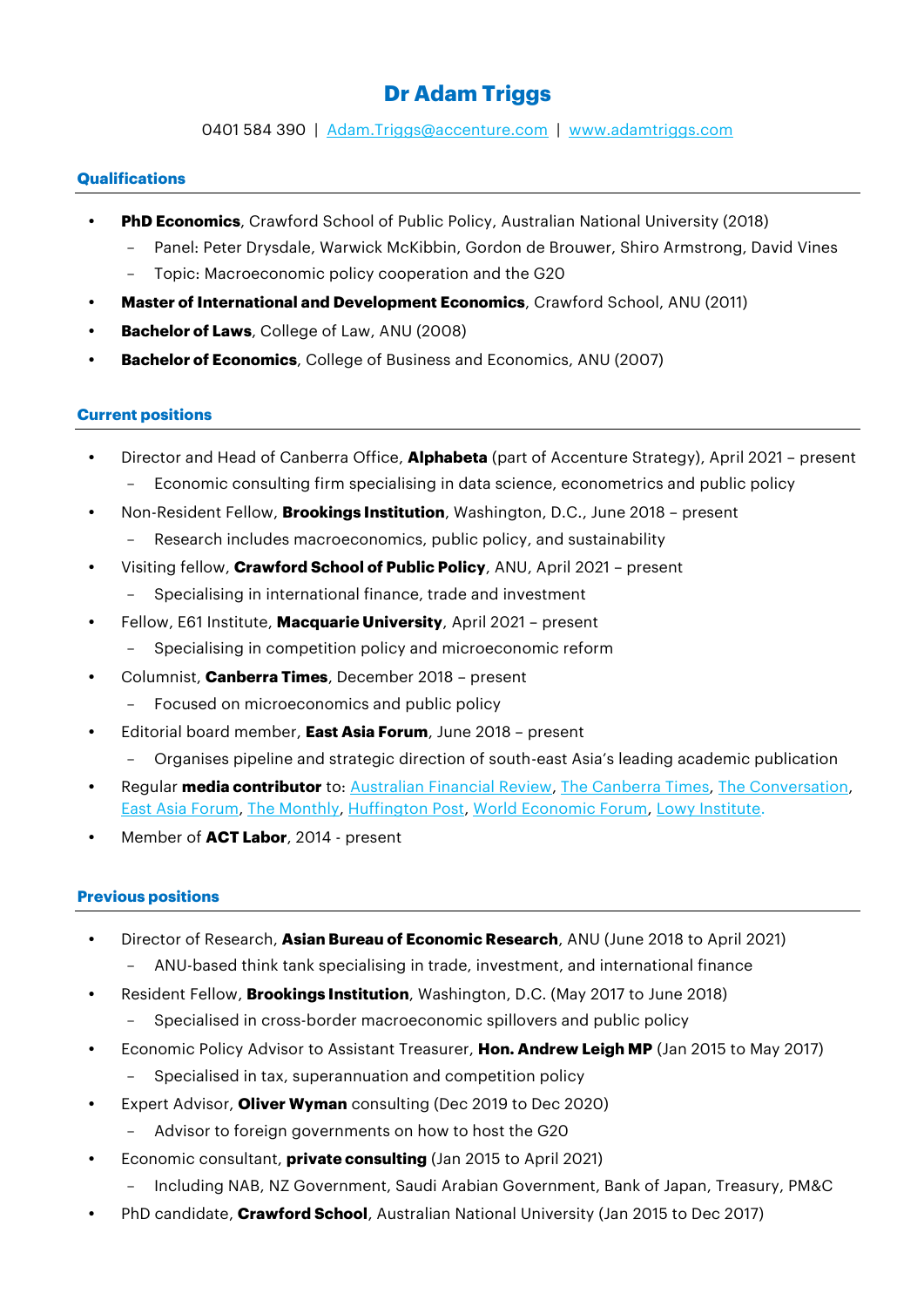# **Dr Adam Triggs**

0401 584 390 | [Adam.Triggs@accenture.com](mailto:Adam.Triggs@accenture.com) | [www.adamtriggs.com](http://www.adamtriggs.com/)

## **Qualifications**

- **PhD Economics**, Crawford School of Public Policy, Australian National University (2018)
	- Panel: Peter Drysdale, Warwick McKibbin, Gordon de Brouwer, Shiro Armstrong, David Vines
	- Topic: Macroeconomic policy cooperation and the G20
- **Master of International and Development Economics**, Crawford School, ANU (2011)
- **Bachelor of Laws**, College of Law, ANU (2008)
- **Bachelor of Economics**, College of Business and Economics, ANU (2007)

### **Current positions**

- Director and Head of Canberra Office, **Alphabeta** (part of Accenture Strategy), April 2021 present
	- Economic consulting firm specialising in data science, econometrics and public policy
- Non-Resident Fellow, **Brookings Institution**, Washington, D.C., June 2018 present
	- Research includes macroeconomics, public policy, and sustainability
- Visiting fellow, **Crawford School of Public Policy**, ANU, April 2021 present
	- Specialising in international finance, trade and investment
- Fellow, E61 Institute, **Macquarie University**, April 2021 present
	- Specialising in competition policy and microeconomic reform
- Columnist, **Canberra Times**, December 2018 present - Focused on microeconomics and public policy
- Editorial board member, **East Asia Forum**, June 2018 present
	- Organises pipeline and strategic direction of south-east Asia's leading academic publication
- Regular **media contributor** to[: Australian Financial Review,](https://www.afr.com/by/adam-triggs-p4yvjp) [The Canberra Times,](https://www.canberratimes.com.au/profile/1409/adam-triggs) [The Conversation,](https://theconversation.com/profiles/adam-triggs-300953) [East Asia](https://www.eastasiaforum.org/author/adamtriggs/) Forum, [The Monthly,](https://www.themonthly.com.au/author/andrew-leigh-and-adam-triggs) [Huffington Post,](https://www.huffpost.com/archive/au/entry/its-time-to-put-markets-ahead-of-monopolies_a_21647051) [World Economic Forum,](https://cn.weforum.org/agenda/authors/adam-triggs) [Lowy Institute.](https://www.lowyinstitute.org/the-interpreter/contributors/articles/adam-triggs)
- Member of **ACT Labor**, 2014 present

### **Previous positions**

- Director of Research, **Asian Bureau of Economic Research**, ANU (June 2018 to April 2021)
	- ANU-based think tank specialising in trade, investment, and international finance
- Resident Fellow, **Brookings Institution**, Washington, D.C. (May 2017 to June 2018)
	- Specialised in cross-border macroeconomic spillovers and public policy
- Economic Policy Advisor to Assistant Treasurer, **Hon. Andrew Leigh MP** (Jan 2015 to May 2017)
	- Specialised in tax, superannuation and competition policy
- Expert Advisor, **Oliver Wyman** consulting (Dec 2019 to Dec 2020)
	- Advisor to foreign governments on how to host the G20
- Economic consultant, **private consulting** (Jan 2015 to April 2021)
	- Including NAB, NZ Government, Saudi Arabian Government, Bank of Japan, Treasury, PM&C
- PhD candidate, **Crawford School**, Australian National University (Jan 2015 to Dec 2017)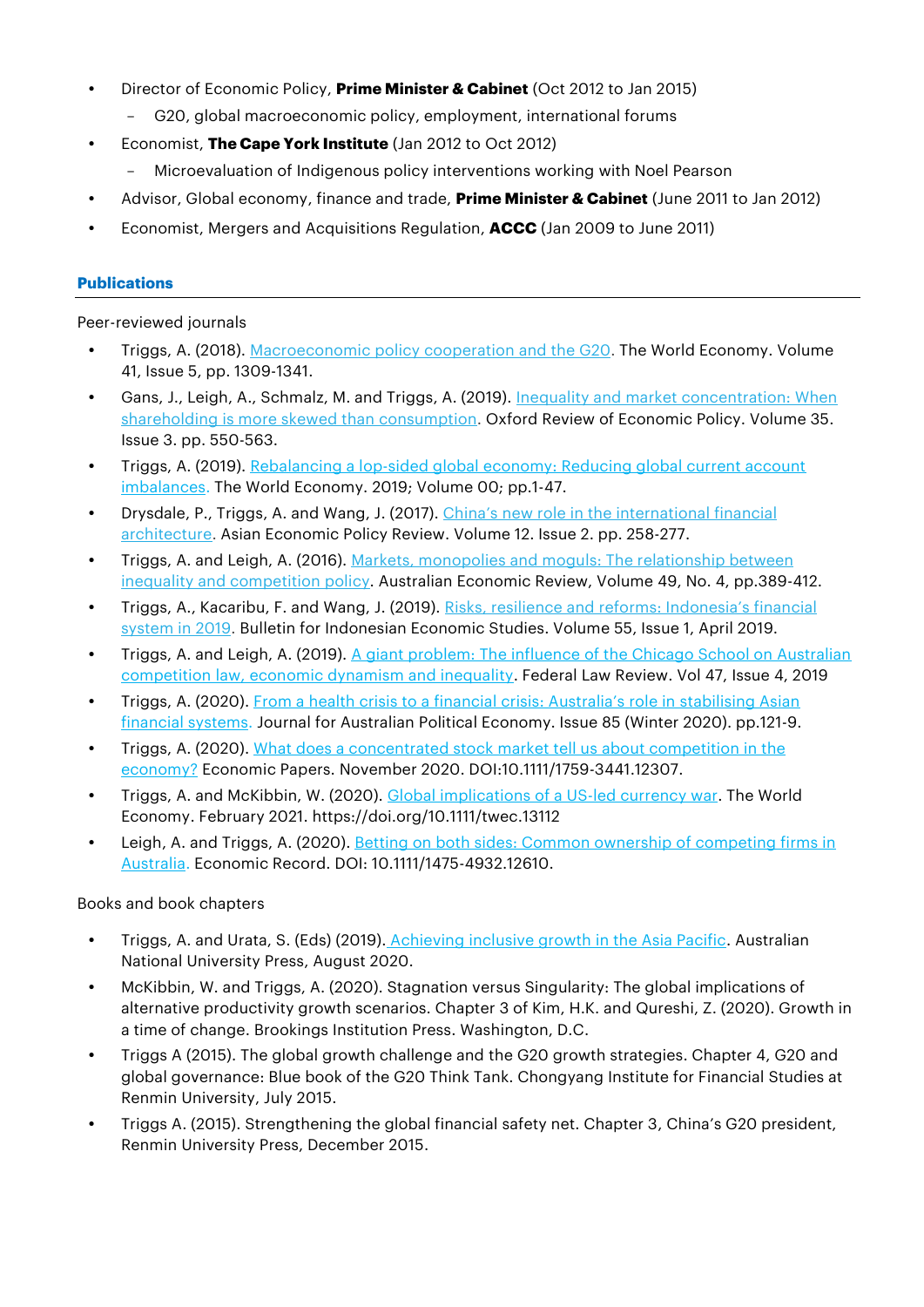- Director of Economic Policy, **Prime Minister & Cabinet** (Oct 2012 to Jan 2015)
	- G20, global macroeconomic policy, employment, international forums
- Economist, **The Cape York Institute** (Jan 2012 to Oct 2012)
	- Microevaluation of Indigenous policy interventions working with Noel Pearson
- Advisor, Global economy, finance and trade, **Prime Minister & Cabinet** (June 2011 to Jan 2012)
- Economist, Mergers and Acquisitions Regulation, **ACCC** (Jan 2009 to June 2011)

# **Publications**

Peer-reviewed journals

- Triggs, A. (2018). [Macroeconomic](https://adamtriggs.files.wordpress.com/2018/01/triggs-2018-the_world_economy.pdf) policy cooperation and the G20. The World Economy. Volume 41, Issue 5, pp. 1309-1341.
- Gans, J., Leigh, A., Schmalz, M. and Triggs, A. (2019). Inequality and market [concentration:](https://academic.oup.com/oxrep/article-abstract/35/3/550/5531390?redirectedFrom=fulltext) When shareholding is more skewed than [consumption.](https://academic.oup.com/oxrep/article-abstract/35/3/550/5531390?redirectedFrom=fulltext) Oxford Review of Economic Policy. Volume 35. Issue 3. pp. 550-563.
- Triggs, A. (2019). Rebalancing a lop-sided global economy: Reducing global current account [imbalances.](https://onlinelibrary.wiley.com/doi/10.1111/twec.12839) The World Economy. 2019; Volume 00; pp.1-47.
- **•** Drysdale, P., Triggs, A. and Wang, J. (2017). China's new role in the [international](https://adamtriggs.files.wordpress.com/2017/01/aepr12182.pdf) financial [architecture.](https://adamtriggs.files.wordpress.com/2017/01/aepr12182.pdf) Asian Economic Policy Review. Volume 12. Issue 2. pp. 258-277.
- Triggs, A. and Leigh, A. (2016). Markets, monopolies and moguls: The [relationship](https://adamtriggs.files.wordpress.com/2017/01/aere12185.pdf) between inequality and [competition](https://adamtriggs.files.wordpress.com/2017/01/aere12185.pdf) policy. Australian Economic Review, Volume 49, No. 4, pp.389-412.
- Triggs, A., Kacaribu, F. and Wang, J. (2019). Risks, resilience and reforms: [Indonesia's](https://www.tandfonline.com/doi/full/10.1080/00074918.2019.1592644) financial [system](https://www.tandfonline.com/doi/full/10.1080/00074918.2019.1592644) in 2019. Bulletin for Indonesian Economic Studies. Volume 55, Issue 1, April 2019.
- Triggs, A. and Leigh, A. (2019). A giant problem: The influence of the Chicago School on Australian [competition law, economic dynamism and inequality.](https://journals.sagepub.com/doi/full/10.1177/0067205X19875031) Federal Law Review. Vol 47, Issue 4, 2019
- Triggs, A. (2020). [From a health crisis to a financial crisis: Australia's role in](https://www.ppesydney.net/content/uploads/2020/06/19_Triggs.pdf) stabilising Asian [financial systems.](https://www.ppesydney.net/content/uploads/2020/06/19_Triggs.pdf) Journal for Australian Political Economy. Issue 85 (Winter 2020). pp.121-9.
- Triggs, A. (2020). What does a concentrated stock market tell us about competition in the [economy?](https://onlinelibrary.wiley.com/doi/abs/10.1111/1759-3441.12307) Economic Papers. November 2020. DOI:10.1111/1759-3441.12307.
- Triggs, A. and McKibbin, W. (2020). [Global implications of a US-led currency war.](https://onlinelibrary.wiley.com/doi/abs/10.1111/twec.13112) The World Economy. February 2021. https://doi.org/10.1111/twec.13112
- Leigh, A. and Triggs, A. (2020). Betting on both sides: Common ownership of competing firms in [Australia.](https://adamtriggs.files.wordpress.com/2021/06/commonownership.pdf) Economic Record. DOI: 10.1111/1475-4932.12610.

Books and book chapters

- **•** Triggs, A. and Urata, S. (Eds) (2019). [Achieving inclusive growth in the Asia Pacific.](https://press.anu.edu.au/publications/series/paftad/achieving-inclusive-growth-asia-pacific) Australian National University Press, August 2020.
- McKibbin, W. and Triggs, A. (2020). Stagnation versus Singularity: The global implications of alternative productivity growth scenarios. Chapter 3 of Kim, H.K. and Qureshi, Z. (2020). Growth in a time of change. Brookings Institution Press. Washington, D.C.
- Triggs A (2015). The global growth challenge and the G20 growth strategies. Chapter 4, G20 and global governance: Blue book of the G20 Think Tank. Chongyang Institute for Financial Studies at Renmin University, July 2015.
- Triggs A. (2015). Strengthening the global financial safety net. Chapter 3, China's G20 president, Renmin University Press, December 2015.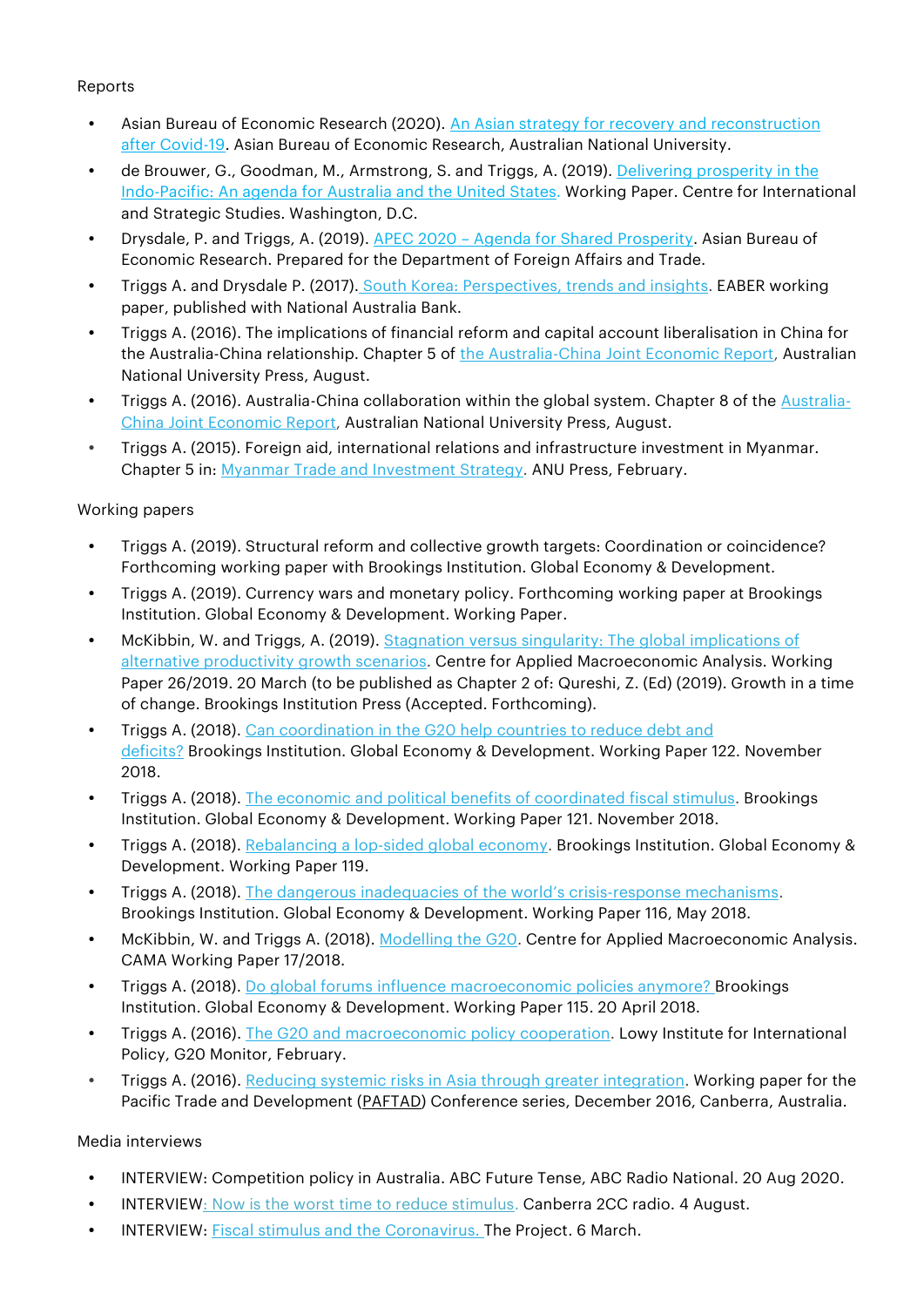# Reports

- Asian Bureau of Economic Research (2020). [An Asian strategy for recovery and reconstruction](http://eaber.org/system/tdf/documents/post_covid19_asia_strategy_2.pdf?file=1&type=node&id=26973&force=)  [after Covid-19.](http://eaber.org/system/tdf/documents/post_covid19_asia_strategy_2.pdf?file=1&type=node&id=26973&force=) Asian Bureau of Economic Research, Australian National University.
- de Brouwer, G., Goodman, M., Armstrong, S. and Triggs, A. (2019). Delivering [prosperity](http://eaber.org/sites/default/files/Delivering%20Prosperity%20-%20full%20report.pdf) in the [Indo-Pacific:](http://eaber.org/sites/default/files/Delivering%20Prosperity%20-%20full%20report.pdf) An agenda for Australia and the United States. Working Paper. Centre for International and Strategic Studies. Washington, D.C.
- Drysdale, P. and Triggs, A. (2019). APEC 2020 [Agenda for Shared Prosperity.](https://adamtriggs.files.wordpress.com/2020/07/apec-2020-agenda-for-shared-prosperity.pdf) Asian Bureau of Economic Research. Prepared for the Department of Foreign Affairs and Trade.
- Triggs A. and Drysdale P. (2017). South Korea: [Perspectives,](https://business.nab.com.au/wp-content/uploads/2017/12/south-korea-perspectives-trends-and-insights.pdf) trends and insights. EABER working paper, published with National Australia Bank.
- Triggs A. (2016). The implications of financial reform and capital account liberalisation in China for the [Australia-China](http://press.anu.edu.au/publications/partnership-change) relationship. Chapter 5 of the Australia-China Joint Economic Report, Australian National University Press, August.
- Triggs A. (2016). Australia-China collaboration within the global system. Chapter 8 of the [Australia-](http://press.anu.edu.au/publications/partnership-change)China Joint [Economic](http://press.anu.edu.au/publications/partnership-change) Report, Australian National University Press, August.
- Triggs A. (2015). Foreign aid, international relations and infrastructure investment in Myanmar. Chapter 5 in: Myanmar Trade and [Investment](https://crawford.anu.edu.au/news-events/news/5323/myanmar-plans-next-wave-reforms) Strategy. ANU Press, February.

# Working papers

- Triggs A. (2019). Structural reform and collective growth targets: Coordination or coincidence? Forthcoming working paper with Brookings Institution. Global Economy & Development.
- Triggs A. (2019). Currency wars and monetary policy. Forthcoming working paper at Brookings Institution. Global Economy & Development. Working Paper.
- McKibbin, W. and Triggs, A. (2019). Stagnation versus singularity: The global [implications](https://cama.crawford.anu.edu.au/publication/cama-working-paper-series/13982/stagnation-vs-singularity-global-implications) of alternative [productivity](https://cama.crawford.anu.edu.au/publication/cama-working-paper-series/13982/stagnation-vs-singularity-global-implications) growth scenarios. Centre for Applied Macroeconomic Analysis. Working Paper 26/2019. 20 March (to be published as Chapter 2 of: Qureshi, Z. (Ed) (2019). Growth in a time of change. Brookings Institution Press (Accepted. Forthcoming).
- Triggs A. (2018). Can [coordination](https://www.brookings.edu/research/can-coordination-in-the-g-20-help-countries-to-reduce-debt-and-deficits/) in the G20 help countries to reduce debt and [deficits?](https://www.brookings.edu/research/can-coordination-in-the-g-20-help-countries-to-reduce-debt-and-deficits/) Brookings Institution. Global Economy & Development. Working Paper 122. November 2018.
- Triggs A. (2018). The economic and political benefits of [coordinated](https://www.brookings.edu/research/the-economic-and-political-case-for-coordinating-fiscal-stimulus/) fiscal stimulus. Brookings Institution. Global Economy & Development. Working Paper 121. November 2018.
- Triggs A. (2018). [Rebalancing](https://www.brookings.edu/research/rebalancing-a-lopsided-global-economy/) a lop-sided global economy. Brookings Institution. Global Economy & Development. Working Paper 119.
- Triggs A. (2018). The dangerous inadequacies of the world's [crisis-response](https://www.brookings.edu/research/the-dangerous-inadequacies-of-the-worlds-crisis-response-mechanisms/) mechanisms. Brookings Institution. Global Economy & Development. Working Paper 116, May 2018.
- McKibbin, W. and Triggs A. (2018). [Modelling](https://cama.crawford.anu.edu.au/publication/cama-working-paper-series/12470/modelling-g20) the G20. Centre for Applied Macroeconomic Analysis. CAMA Working Paper 17/2018.
- Triggs A. (2018). Do global forums influence [macroeconomic](https://www.brookings.edu/research/do-global-forums-influence-domestic-macroeconomic-policies-anymore/) policies anymore? Brookings Institution. Global Economy & Development. Working Paper 115. 20 April 2018.
- Triggs A. (2016). The G20 and [macroeconomic](https://www.lowyinstitute.org/people/contributor/bio/adam-triggs) policy cooperation. Lowy Institute for International Policy, G20 Monitor, February.
- Triggs A. (2016). Reducing systemic risks in Asia through greater [integration.](https://adamtriggs.files.wordpress.com/2017/01/paftad-2016-paper-triggs.pdf) Working paper for the Pacific Trade and Development [\(PAFTAD\)](http://paftad.org/) Conference series, December 2016, Canberra, Australia.

# Media interviews

- INTERVIEW: Competition policy in Australia. ABC Future Tense, ABC Radio National. 20 Aug 2020.
- INTERVIE[W: Now is the worst time to reduce stimulus.](http://2cc.net.au/podcasts/13935-now-is-the-worst-possible-time-to-reduce-stimulus-measures-expert.html) Canberra 2CC radio. 4 August.
- INTERVIEW: **Fiscal stimulus and the Coronavirus**. The Project. 6 March.